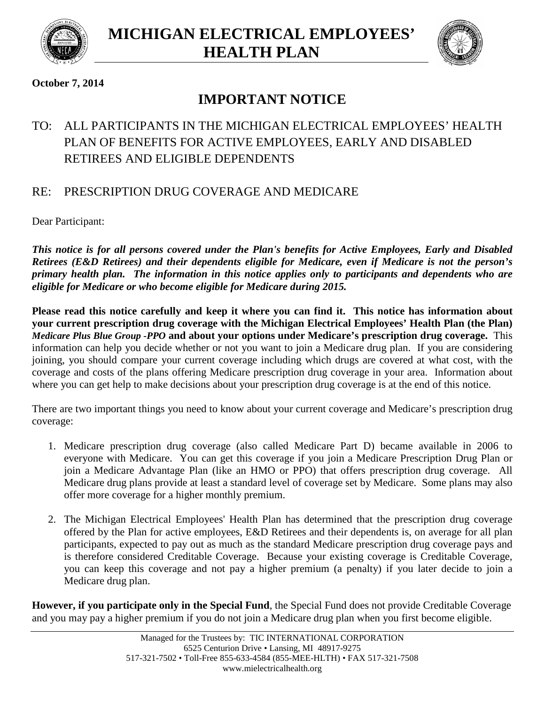



### **October 7, 2014**

# **IMPORTANT NOTICE**

# TO: ALL PARTICIPANTS IN THE MICHIGAN ELECTRICAL EMPLOYEES' HEALTH PLAN OF BENEFITS FOR ACTIVE EMPLOYEES, EARLY AND DISABLED RETIREES AND ELIGIBLE DEPENDENTS

## RE: PRESCRIPTION DRUG COVERAGE AND MEDICARE

Dear Participant:

*This notice is for all persons covered under the Plan's benefits for Active Employees, Early and Disabled Retirees (E&D Retirees) and their dependents eligible for Medicare, even if Medicare is not the person's primary health plan. The information in this notice applies only to participants and dependents who are eligible for Medicare or who become eligible for Medicare during 2015.*

**Please read this notice carefully and keep it where you can find it. This notice has information about your current prescription drug coverage with the Michigan Electrical Employees' Health Plan (the Plan)** *Medicare Plus Blue Group -PPO* **and about your options under Medicare's prescription drug coverage.** This information can help you decide whether or not you want to join a Medicare drug plan. If you are considering joining, you should compare your current coverage including which drugs are covered at what cost, with the coverage and costs of the plans offering Medicare prescription drug coverage in your area. Information about where you can get help to make decisions about your prescription drug coverage is at the end of this notice.

There are two important things you need to know about your current coverage and Medicare's prescription drug coverage:

- 1. Medicare prescription drug coverage (also called Medicare Part D) became available in 2006 to everyone with Medicare. You can get this coverage if you join a Medicare Prescription Drug Plan or join a Medicare Advantage Plan (like an HMO or PPO) that offers prescription drug coverage. All Medicare drug plans provide at least a standard level of coverage set by Medicare. Some plans may also offer more coverage for a higher monthly premium.
- 2. The Michigan Electrical Employees' Health Plan has determined that the prescription drug coverage offered by the Plan for active employees, E&D Retirees and their dependents is, on average for all plan participants, expected to pay out as much as the standard Medicare prescription drug coverage pays and is therefore considered Creditable Coverage. Because your existing coverage is Creditable Coverage, you can keep this coverage and not pay a higher premium (a penalty) if you later decide to join a Medicare drug plan.

**However, if you participate only in the Special Fund**, the Special Fund does not provide Creditable Coverage and you may pay a higher premium if you do not join a Medicare drug plan when you first become eligible.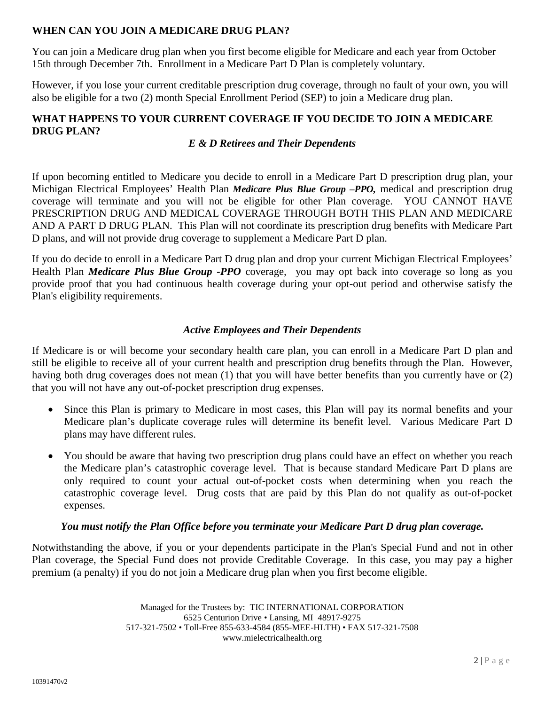#### **WHEN CAN YOU JOIN A MEDICARE DRUG PLAN?**

You can join a Medicare drug plan when you first become eligible for Medicare and each year from October 15th through December 7th. Enrollment in a Medicare Part D Plan is completely voluntary.

However, if you lose your current creditable prescription drug coverage, through no fault of your own, you will also be eligible for a two (2) month Special Enrollment Period (SEP) to join a Medicare drug plan.

### **WHAT HAPPENS TO YOUR CURRENT COVERAGE IF YOU DECIDE TO JOIN A MEDICARE DRUG PLAN?**

#### *E & D Retirees and Their Dependents*

If upon becoming entitled to Medicare you decide to enroll in a Medicare Part D prescription drug plan, your Michigan Electrical Employees' Health Plan *Medicare Plus Blue Group –PPO,* medical and prescription drug coverage will terminate and you will not be eligible for other Plan coverage. YOU CANNOT HAVE PRESCRIPTION DRUG AND MEDICAL COVERAGE THROUGH BOTH THIS PLAN AND MEDICARE AND A PART D DRUG PLAN. This Plan will not coordinate its prescription drug benefits with Medicare Part D plans, and will not provide drug coverage to supplement a Medicare Part D plan.

If you do decide to enroll in a Medicare Part D drug plan and drop your current Michigan Electrical Employees' Health Plan *Medicare Plus Blue Group -PPO* coverage*,* you may opt back into coverage so long as you provide proof that you had continuous health coverage during your opt-out period and otherwise satisfy the Plan's eligibility requirements.

#### *Active Employees and Their Dependents*

If Medicare is or will become your secondary health care plan, you can enroll in a Medicare Part D plan and still be eligible to receive all of your current health and prescription drug benefits through the Plan. However, having both drug coverages does not mean (1) that you will have better benefits than you currently have or (2) that you will not have any out-of-pocket prescription drug expenses.

- Since this Plan is primary to Medicare in most cases, this Plan will pay its normal benefits and your Medicare plan's duplicate coverage rules will determine its benefit level. Various Medicare Part D plans may have different rules.
- You should be aware that having two prescription drug plans could have an effect on whether you reach the Medicare plan's catastrophic coverage level. That is because standard Medicare Part D plans are only required to count your actual out-of-pocket costs when determining when you reach the catastrophic coverage level. Drug costs that are paid by this Plan do not qualify as out-of-pocket expenses.

#### *You must notify the Plan Office before you terminate your Medicare Part D drug plan coverage.*

Notwithstanding the above, if you or your dependents participate in the Plan's Special Fund and not in other Plan coverage, the Special Fund does not provide Creditable Coverage. In this case, you may pay a higher premium (a penalty) if you do not join a Medicare drug plan when you first become eligible.

> Managed for the Trustees by: TIC INTERNATIONAL CORPORATION 6525 Centurion Drive • Lansing, MI 48917-9275 517-321-7502 • Toll-Free 855-633-4584 (855-MEE-HLTH) • FAX 517-321-7508 www.mielectricalhealth.org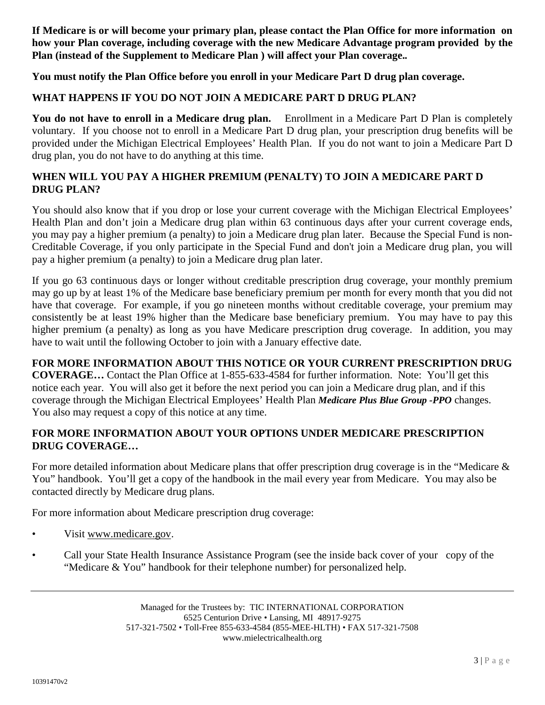**If Medicare is or will become your primary plan, please contact the Plan Office for more information on how your Plan coverage, including coverage with the new Medicare Advantage program provided by the Plan (instead of the Supplement to Medicare Plan ) will affect your Plan coverage.***.*

**You must notify the Plan Office before you enroll in your Medicare Part D drug plan coverage.**

#### **WHAT HAPPENS IF YOU DO NOT JOIN A MEDICARE PART D DRUG PLAN?**

**You do not have to enroll in a Medicare drug plan.** Enrollment in a Medicare Part D Plan is completely voluntary. If you choose not to enroll in a Medicare Part D drug plan, your prescription drug benefits will be provided under the Michigan Electrical Employees' Health Plan. If you do not want to join a Medicare Part D drug plan, you do not have to do anything at this time.

#### **WHEN WILL YOU PAY A HIGHER PREMIUM (PENALTY) TO JOIN A MEDICARE PART D DRUG PLAN?**

You should also know that if you drop or lose your current coverage with the Michigan Electrical Employees' Health Plan and don't join a Medicare drug plan within 63 continuous days after your current coverage ends, you may pay a higher premium (a penalty) to join a Medicare drug plan later. Because the Special Fund is non-Creditable Coverage, if you only participate in the Special Fund and don't join a Medicare drug plan, you will pay a higher premium (a penalty) to join a Medicare drug plan later.

If you go 63 continuous days or longer without creditable prescription drug coverage, your monthly premium may go up by at least 1% of the Medicare base beneficiary premium per month for every month that you did not have that coverage. For example, if you go nineteen months without creditable coverage, your premium may consistently be at least 19% higher than the Medicare base beneficiary premium. You may have to pay this higher premium (a penalty) as long as you have Medicare prescription drug coverage. In addition, you may have to wait until the following October to join with a January effective date.

#### **FOR MORE INFORMATION ABOUT THIS NOTICE OR YOUR CURRENT PRESCRIPTION DRUG**

**COVERAGE…** Contact the Plan Office at 1-855-633-4584 for further information. Note: You'll get this notice each year. You will also get it before the next period you can join a Medicare drug plan, and if this coverage through the Michigan Electrical Employees' Health Plan *Medicare Plus Blue Group -PPO* changes. You also may request a copy of this notice at any time.

#### **FOR MORE INFORMATION ABOUT YOUR OPTIONS UNDER MEDICARE PRESCRIPTION DRUG COVERAGE…**

For more detailed information about Medicare plans that offer prescription drug coverage is in the "Medicare & You" handbook. You'll get a copy of the handbook in the mail every year from Medicare. You may also be contacted directly by Medicare drug plans.

For more information about Medicare prescription drug coverage:

- Visit www.medicare.gov.
- Call your State Health Insurance Assistance Program (see the inside back cover of your copy of the "Medicare & You" handbook for their telephone number) for personalized help.

Managed for the Trustees by: TIC INTERNATIONAL CORPORATION 6525 Centurion Drive • Lansing, MI 48917-9275 517-321-7502 • Toll-Free 855-633-4584 (855-MEE-HLTH) • FAX 517-321-7508 www.mielectricalhealth.org